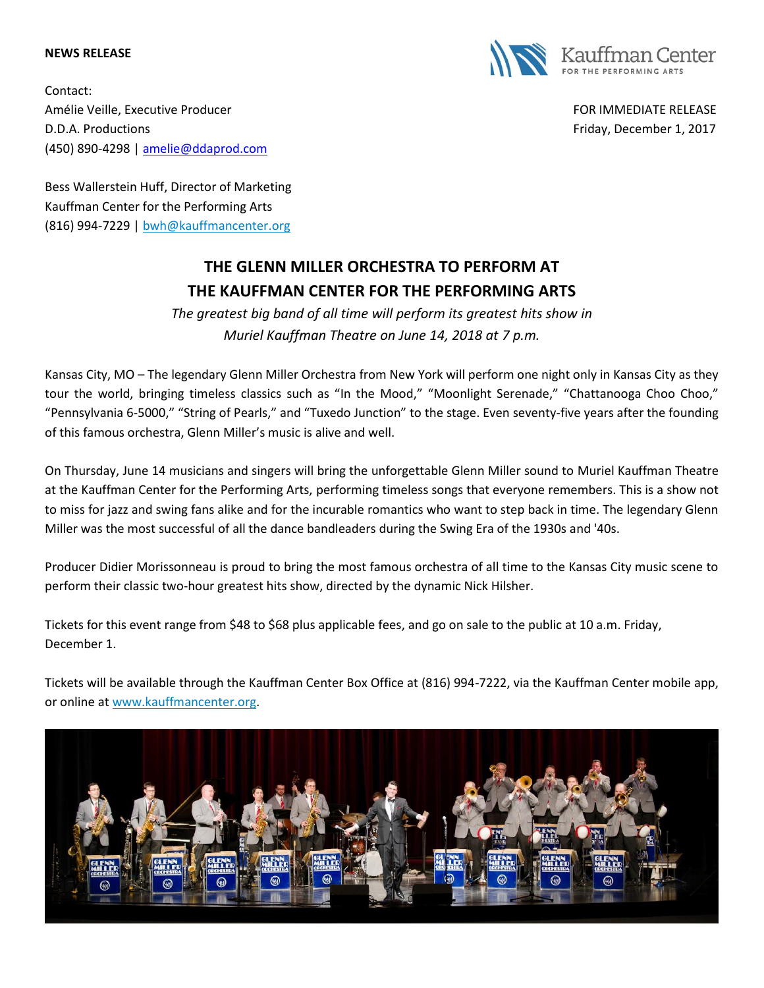## **NEWS RELEASE**



Contact: Amélie Veille, Executive Producer FOR IMMEDIATE RELEASE D.D.A. Productions **Friday, December 1, 2017 Friday, December 1, 2017** (450) 890-4298 [| amelie@ddaprod.com](file:///C:/Users/thawks/Downloads/amelie@ddaprod.com)

Bess Wallerstein Huff, Director of Marketing Kauffman Center for the Performing Arts (816) 994-7229 | [bwh@kauffmancenter.org](mailto:bwh@kauffmancenter.org)

## **THE GLENN MILLER ORCHESTRA TO PERFORM AT THE KAUFFMAN CENTER FOR THE PERFORMING ARTS**

*The greatest big band of all time will perform its greatest hits show in Muriel Kauffman Theatre on June 14, 2018 at 7 p.m.*

Kansas City, MO – The legendary Glenn Miller Orchestra from New York will perform one night only in Kansas City as they tour the world, bringing timeless classics such as "In the Mood," "Moonlight Serenade," "Chattanooga Choo Choo," "Pennsylvania 6-5000," "String of Pearls," and "Tuxedo Junction" to the stage. Even seventy-five years after the founding of this famous orchestra, Glenn Miller's music is alive and well.

On Thursday, June 14 musicians and singers will bring the unforgettable Glenn Miller sound to Muriel Kauffman Theatre at the Kauffman Center for the Performing Arts, performing timeless songs that everyone remembers. This is a show not to miss for jazz and swing fans alike and for the incurable romantics who want to step back in time. The legendary Glenn Miller was the most successful of all the dance bandleaders during the Swing Era of the 1930s and '40s.

Producer Didier Morissonneau is proud to bring the most famous orchestra of all time to the Kansas City music scene to perform their classic two-hour greatest hits show, directed by the dynamic Nick Hilsher.

Tickets for this event range from \$48 to \$68 plus applicable fees, and go on sale to the public at 10 a.m. Friday, December 1.

Tickets will be available through the Kauffman Center Box Office at (816) 994-7222, via the Kauffman Center mobile app, or online at [www.kauffmancenter.org.](file:///C:/Users/mhair/AppData/Local/Microsoft/Windows/INetCache/Content.Outlook/RKJSICOX/www.kauffmancenter.org)